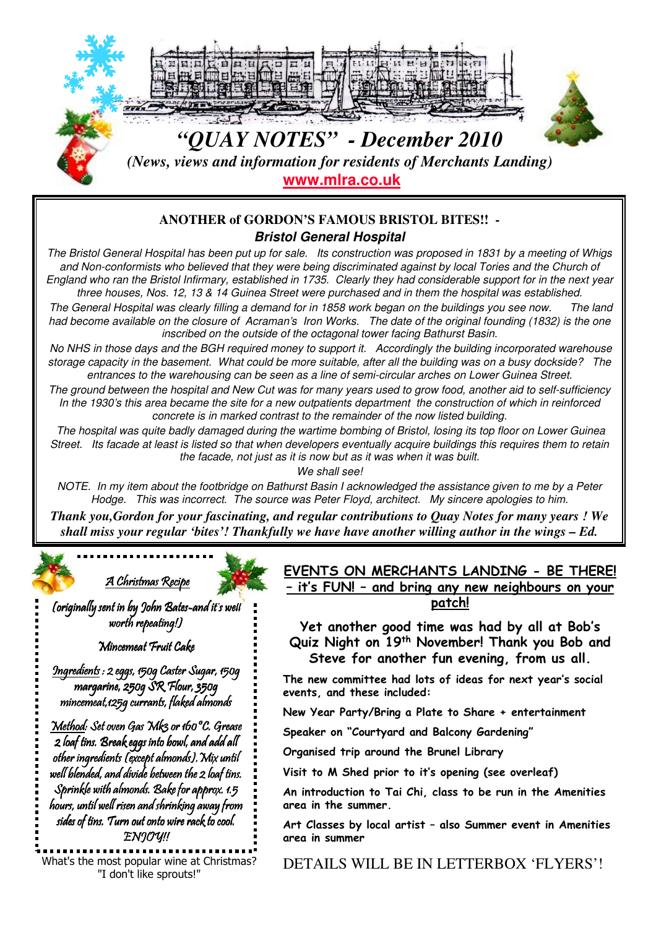

## **ANOTHER of GORDON'S FAMOUS BRISTOL BITES!! - Bristol General Hospital**

The Bristol General Hospital has been put up for sale. Its construction was proposed in 1831 by a meeting of Whigs and Non-conformists who believed that they were being discriminated against by local Tories and the Church of England who ran the Bristol Infirmary, established in 1735. Clearly they had considerable support for in the next year three houses, Nos. 12, 13 & 14 Guinea Street were purchased and in them the hospital was established.

The General Hospital was clearly filling a demand for in 1858 work began on the buildings you see now. The land had become available on the closure of Acraman's Iron Works. The date of the original founding (1832) is the one inscribed on the outside of the octagonal tower facing Bathurst Basin.

No NHS in those days and the BGH required money to support it. Accordingly the building incorporated warehouse storage capacity in the basement. What could be more suitable, after all the building was on a busy dockside? The entrances to the warehousing can be seen as a line of semi-circular arches on Lower Guinea Street.

The ground between the hospital and New Cut was for many years used to grow food, another aid to self-sufficiency In the 1930's this area became the site for a new outpatients department the construction of which in reinforced concrete is in marked contrast to the remainder of the now listed building.

The hospital was quite badly damaged during the wartime bombing of Bristol, losing its top floor on Lower Guinea Street. Its facade at least is listed so that when developers eventually acquire buildings this requires them to retain the facade, not just as it is now but as it was when it was built.

We shall see!

NOTE. In my item about the footbridge on Bathurst Basin I acknowledged the assistance given to me by a Peter Hodge. This was incorrect. The source was Peter Floyd, architect. My sincere apologies to him.

*Thank you,Gordon for your fascinating, and regular contributions to Quay Notes for many years ! We shall miss your regular 'bites'! Thankfully we have have another willing author in the wings – Ed.*

# A Christmas Recipe

(originally sent in by John Bates-and it's well worth repeating!)

#### Mincemeat Fruit Cake

Ingredients : 2 eggs, 150g Caster Sugar, 150g margarine, 250g SR Flour, 350g mincemeat,125g currants, flaked almonds

Method: Set oven Gas Mk3 or 160 °C. Grease 2 loaf tins. Break eggs into bowl, and add all other ingredients (except almonds).Mix until well blended, and divide between the 2 loaf tins. Sprinkle with almonds. Bake for approx. 1.5 hours, until well risen and shrinking away from sides of tins. Turn out onto wire rack to cool. ENJOY!!

"I don't like sprouts!"

### EVENTS ON MERCHANTS LANDING - BE THERE! – it's FUN! – and bring any new neighbours on your patch!

Yet another good time was had by all at Bob's Quiz Night on 19<sup>th</sup> November! Thank you Bob and Steve for another fun evening, from us all.

The new committee had lots of ideas for next year's social events, and these included:

New Year Party/Bring a Plate to Share + entertainment

Speaker on "Courtyard and Balcony Gardening"

Organised trip around the Brunel Library

Visit to M Shed prior to it's opening (see overleaf)

An introduction to Tai Chi, class to be run in the Amenities area in the summer.

Art Classes by local artist – also Summer event in Amenities area in summer

What's the most popular wine at Christmas? DETAILS WILL BE IN LETTERBOX 'FLYERS'!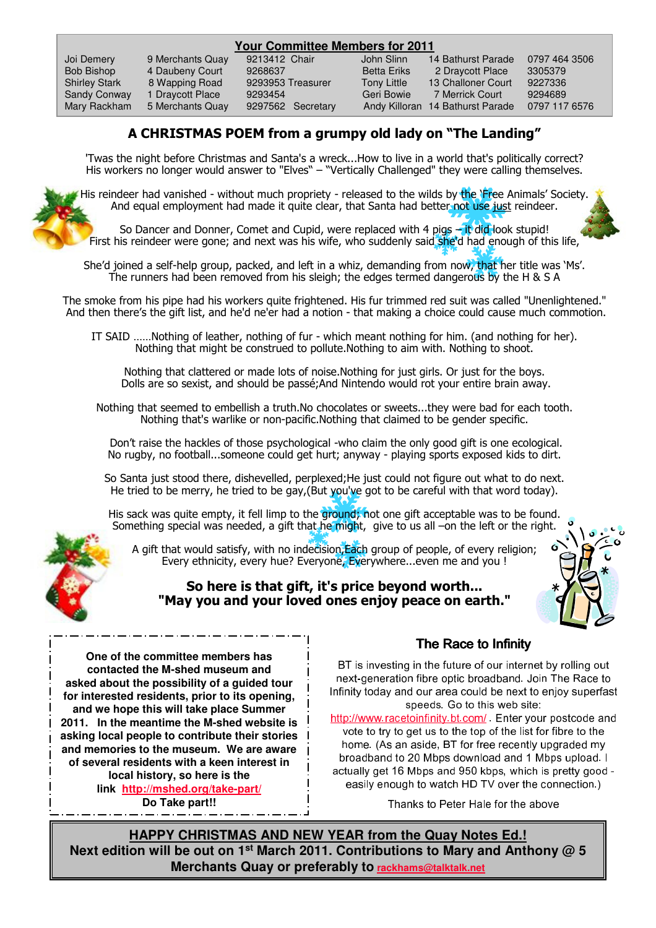| <b>Your Committee Members for 2011</b> |                  |                   |                    |                                  |               |
|----------------------------------------|------------------|-------------------|--------------------|----------------------------------|---------------|
| Joi Demery                             | 9 Merchants Quay | 9213412 Chair     | John Slinn         | 14 Bathurst Parade               | 0797 464 3506 |
| Bob Bishop                             | 4 Daubeny Court  | 9268637           | <b>Betta Eriks</b> | 2 Draycott Place                 | 3305379       |
| <b>Shirley Stark</b>                   | 8 Wapping Road   | 9293953 Treasurer | <b>Tony Little</b> | 13 Challoner Court               | 9227336       |
| Sandy Conway                           | 1 Draycott Place | 9293454           | Geri Bowie         | 7 Merrick Court                  | 9294689       |
| Mary Rackham                           | 5 Merchants Quay | 9297562 Secretary |                    | Andy Killoran 14 Bathurst Parade | 0797 117 6576 |

# A CHRISTMAS POEM from a grumpy old lady on "The Landing"

'Twas the night before Christmas and Santa's a wreck...How to live in a world that's politically correct? His workers no longer would answer to "Elves" – "Vertically Challenged" they were calling themselves.



His reindeer had vanished - without much propriety - released to the wilds by the 'Free Animals' Society. And equal employment had made it quite clear, that Santa had better not use just reindeer.

So Dancer and Donner, Comet and Cupid, were replaced with 4 pigs  $-i$ t did look stupid! First his reindeer were gone; and next was his wife, who suddenly said she'd had enough of this life,

She'd joined a self-help group, packed, and left in a whiz, demanding from now, that her title was 'Ms'. The runners had been removed from his sleigh; the edges termed dangerous by the H & S A

The smoke from his pipe had his workers quite frightened. His fur trimmed red suit was called "Unenlightened." And then there's the gift list, and he'd ne'er had a notion - that making a choice could cause much commotion.

IT SAID ……Nothing of leather, nothing of fur - which meant nothing for him. (and nothing for her). Nothing that might be construed to pollute.Nothing to aim with. Nothing to shoot.

Nothing that clattered or made lots of noise.Nothing for just girls. Or just for the boys. Dolls are so sexist, and should be passé;And Nintendo would rot your entire brain away.

Nothing that seemed to embellish a truth.No chocolates or sweets...they were bad for each tooth. Nothing that's warlike or non-pacific. Nothing that claimed to be gender specific.

Don't raise the hackles of those psychological -who claim the only good gift is one ecological. No rugby, no football...someone could get hurt; anyway - playing sports exposed kids to dirt.

So Santa just stood there, dishevelled, perplexed;He just could not figure out what to do next. He tried to be merry, he tried to be gay, (But you've got to be careful with that word today).

His sack was quite empty, it fell limp to the ground; not one gift acceptable was to be found. Something special was needed, a gift that he might, give to us all –on the left or the right.



A gift that would satisfy, with no indecision,Each group of people, of every religion; Every ethnicity, every hue? Everyone, Everywhere...even me and you !

### So here is that gift, it's price beyond worth... "May you and your loved ones enjoy peace on earth."



**One of the committee members has contacted the M-shed museum and asked about the possibility of a guided tour for interested residents, prior to its opening, and we hope this will take place Summer 2011. In the meantime the M-shed website is asking local people to contribute their stories and memories to the museum. We are aware of several residents with a keen interest in local history, so here is the link http://mshed.org/take-part/**

**Do Take part!!**

## The Race to Infinity

BT is investing in the future of our internet by rolling out next-generation fibre optic broadband. Join The Race to Infinity today and our area could be next to enjoy superfast speeds. Go to this web site:

http://www.racetoinfinity.bt.com/ Enter your postcode and vote to try to get us to the top of the list for fibre to the home. (As an aside, BT for free recently upgraded my broadband to 20 Mbps download and 1 Mbps upload. I actually get 16 Mbps and 950 kbps, which is pretty good easily enough to watch HD TV over the connection.)

Thanks to Peter Hale for the above

**HAPPY CHRISTMAS AND NEW YEAR from the Quay Notes Ed.! Next edition will be out on 1st March 2011. Contributions to Mary and Anthony @ 5 Merchants Quay or preferably to rackhams@talktalk.net**